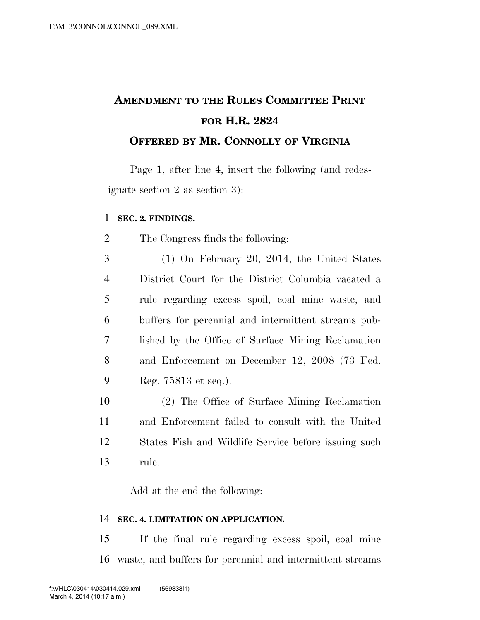## **AMENDMENT TO THE RULES COMMITTEE PRINT FOR H.R. 2824 OFFERED BY MR. CONNOLLY OF VIRGINIA**

Page 1, after line 4, insert the following (and redesignate section 2 as section 3):

## **SEC. 2. FINDINGS.**

The Congress finds the following:

 (1) On February 20, 2014, the United States District Court for the District Columbia vacated a rule regarding excess spoil, coal mine waste, and buffers for perennial and intermittent streams pub- lished by the Office of Surface Mining Reclamation and Enforcement on December 12, 2008 (73 Fed. Reg. 75813 et seq.).

 (2) The Office of Surface Mining Reclamation and Enforcement failed to consult with the United States Fish and Wildlife Service before issuing such rule.

Add at the end the following:

## **SEC. 4. LIMITATION ON APPLICATION.**

 If the final rule regarding excess spoil, coal mine waste, and buffers for perennial and intermittent streams